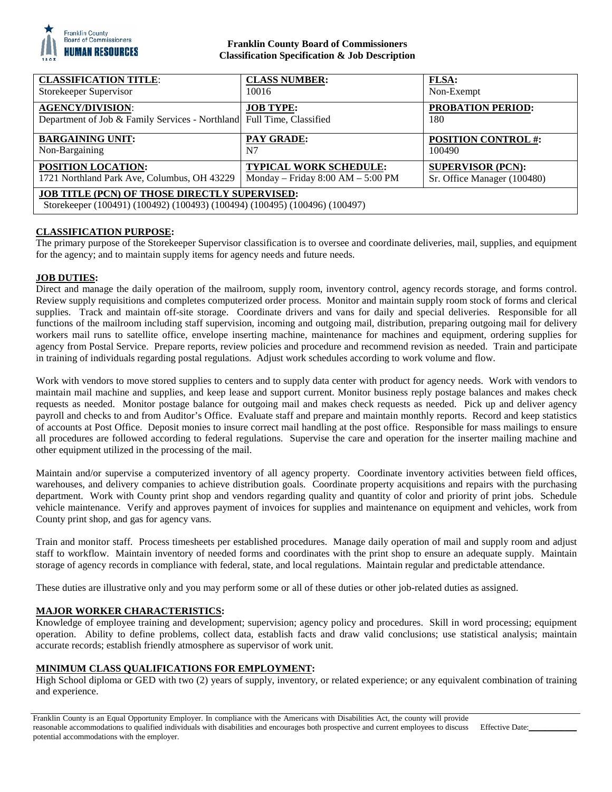

## **Franklin County Board of Commissioners Classification Specification & Job Description**

| <b>CLASSIFICATION TITLE:</b>                                                                                                       | <b>CLASS NUMBER:</b>                | <b>FLSA:</b>                    |
|------------------------------------------------------------------------------------------------------------------------------------|-------------------------------------|---------------------------------|
| Storekeeper Supervisor                                                                                                             | 10016                               | Non-Exempt                      |
| <b>AGENCY/DIVISION:</b><br>Department of Job & Family Services - Northland Full Time, Classified                                   | <b>JOB TYPE:</b>                    | <b>PROBATION PERIOD:</b><br>180 |
| <b>BARGAINING UNIT:</b>                                                                                                            | <b>PAY GRADE:</b>                   | <b>POSITION CONTROL #:</b>      |
| Non-Bargaining                                                                                                                     | N7                                  | 100490                          |
| POSITION LOCATION:                                                                                                                 | <b>TYPICAL WORK SCHEDULE:</b>       | <b>SUPERVISOR (PCN):</b>        |
| 1721 Northland Park Ave, Columbus, OH 43229                                                                                        | Monday – Friday $8:00 AM - 5:00 PM$ | Sr. Office Manager (100480)     |
| <b>JOB TITLE (PCN) OF THOSE DIRECTLY SUPERVISED:</b><br>Storekeeper (100491) (100492) (100493) (100494) (100495) (100496) (100497) |                                     |                                 |

# **CLASSIFICATION PURPOSE:**

The primary purpose of the Storekeeper Supervisor classification is to oversee and coordinate deliveries, mail, supplies, and equipment for the agency; and to maintain supply items for agency needs and future needs.

## **JOB DUTIES:**

Direct and manage the daily operation of the mailroom, supply room, inventory control, agency records storage, and forms control. Review supply requisitions and completes computerized order process. Monitor and maintain supply room stock of forms and clerical supplies. Track and maintain off-site storage. Coordinate drivers and vans for daily and special deliveries. Responsible for all functions of the mailroom including staff supervision, incoming and outgoing mail, distribution, preparing outgoing mail for delivery workers mail runs to satellite office, envelope inserting machine, maintenance for machines and equipment, ordering supplies for agency from Postal Service. Prepare reports, review policies and procedure and recommend revision as needed. Train and participate in training of individuals regarding postal regulations. Adjust work schedules according to work volume and flow.

Work with vendors to move stored supplies to centers and to supply data center with product for agency needs. Work with vendors to maintain mail machine and supplies, and keep lease and support current. Monitor business reply postage balances and makes check requests as needed. Monitor postage balance for outgoing mail and makes check requests as needed. Pick up and deliver agency payroll and checks to and from Auditor's Office. Evaluate staff and prepare and maintain monthly reports. Record and keep statistics of accounts at Post Office. Deposit monies to insure correct mail handling at the post office. Responsible for mass mailings to ensure all procedures are followed according to federal regulations. Supervise the care and operation for the inserter mailing machine and other equipment utilized in the processing of the mail.

Maintain and/or supervise a computerized inventory of all agency property. Coordinate inventory activities between field offices, warehouses, and delivery companies to achieve distribution goals. Coordinate property acquisitions and repairs with the purchasing department. Work with County print shop and vendors regarding quality and quantity of color and priority of print jobs. Schedule vehicle maintenance. Verify and approves payment of invoices for supplies and maintenance on equipment and vehicles, work from County print shop, and gas for agency vans.

Train and monitor staff. Process timesheets per established procedures. Manage daily operation of mail and supply room and adjust staff to workflow. Maintain inventory of needed forms and coordinates with the print shop to ensure an adequate supply. Maintain storage of agency records in compliance with federal, state, and local regulations. Maintain regular and predictable attendance.

These duties are illustrative only and you may perform some or all of these duties or other job-related duties as assigned.

## **MAJOR WORKER CHARACTERISTICS:**

Knowledge of employee training and development; supervision; agency policy and procedures. Skill in word processing; equipment operation. Ability to define problems, collect data, establish facts and draw valid conclusions; use statistical analysis; maintain accurate records; establish friendly atmosphere as supervisor of work unit.

## **MINIMUM CLASS QUALIFICATIONS FOR EMPLOYMENT:**

High School diploma or GED with two (2) years of supply, inventory, or related experience; or any equivalent combination of training and experience.

Franklin County is an Equal Opportunity Employer. In compliance with the Americans with Disabilities Act, the county will provide reasonable accommodations to qualified individuals with disabilities and encourages both prospective and current employees to discuss potential accommodations with the employer. Effective Date: